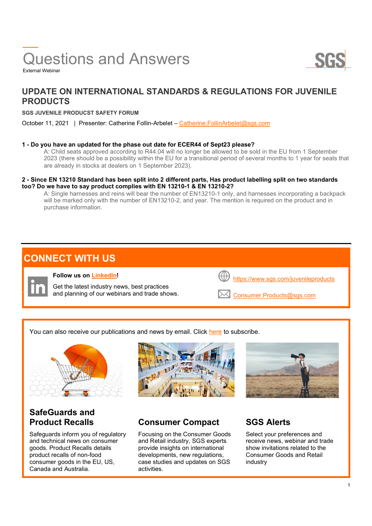# Questions and Answers



External Webinar

## UPDATE ON INTERNATIONAL STANDARDS & REGULATIONS FOR JUVENILE PRODUCTS

### SGS JUVENILE PRODUCST SAFETY FORUM

October 11, 2021 | Presenter: Catherine Follin-Arbelet – Catherine. FollinArbelet@sgs.com

### 1 - Do you have an updated for the phase out date for ECER44 of Sept23 please?

A: Child seats approved according to R44.04 will no longer be allowed to be sold in the EU from 1 September 2023 (there should be a possibility within the EU for a transitional period of several months to 1 year for seats that are already in stocks at dealers on 1 September 2023).

### 2 - Since EN 13210 Standard has been split into 2 different parts, Has product labelling split on two standards too? Do we have to say product complies with EN 13210-1 & EN 13210-2?

A: Single harnesses and reins will bear the number of EN13210-1 only, and harnesses incorporating a backpack will be marked only with the number of EN13210-2, and year. The mention is required on the product and in purchase information.

## CONNECT WITH US



You can also receive our publications and news by email. Click here to subscribe.



 Safeguards inform you of regulatory and technical news on consumer goods. Product Recalls details product recalls of non-food consumer goods in the EU, US, Canada and Australia.



### Product Recalls Consumer Compact SGS Alerts

 Focusing on the Consumer Goods and Retail industry, SGS experts provide insights on international developments, new regulations, case studies and updates on SGS activities.



 Select your preferences and receive news, webinar and trade show invitations related to the Consumer Goods and Retail industry